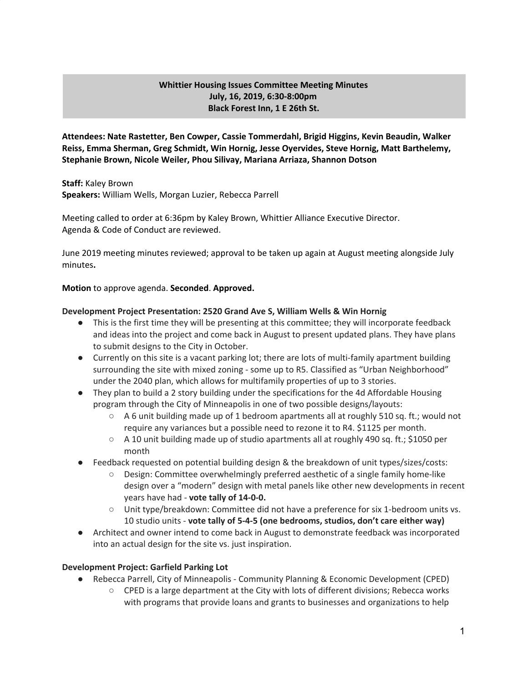## **Whittier Housing Issues Committee Meeting Minutes July, 16, 2019, 6:30-8:00pm Black Forest Inn, 1 E 26th St.**

**Attendees: Nate Rastetter, Ben Cowper, Cassie Tommerdahl, Brigid Higgins, Kevin Beaudin, Walker Reiss, Emma Sherman, Greg Schmidt, Win Hornig, Jesse Oyervides, Steve Hornig, Matt Barthelemy, Stephanie Brown, Nicole Weiler, Phou Silivay, Mariana Arriaza, Shannon Dotson**

**Staff:** Kaley Brown **Speakers:** William Wells, Morgan Luzier, Rebecca Parrell

Meeting called to order at 6:36pm by Kaley Brown, Whittier Alliance Executive Director. Agenda & Code of Conduct are reviewed.

June 2019 meeting minutes reviewed; approval to be taken up again at August meeting alongside July minutes**.**

### **Motion** to approve agenda. **Seconded**. **Approved.**

### **Development Project Presentation: 2520 Grand Ave S, William Wells & Win Hornig**

- This is the first time they will be presenting at this committee; they will incorporate feedback and ideas into the project and come back in August to present updated plans. They have plans to submit designs to the City in October.
- Currently on this site is a vacant parking lot; there are lots of multi-family apartment building surrounding the site with mixed zoning - some up to R5. Classified as "Urban Neighborhood" under the 2040 plan, which allows for multifamily properties of up to 3 stories.
- They plan to build a 2 story building under the specifications for the 4d Affordable Housing program through the City of Minneapolis in one of two possible designs/layouts:
	- $\circ$  A 6 unit building made up of 1 bedroom apartments all at roughly 510 sq. ft.; would not require any variances but a possible need to rezone it to R4. \$1125 per month.
	- A 10 unit building made up of studio apartments all at roughly 490 sq. ft.; \$1050 per month
- Feedback requested on potential building design & the breakdown of unit types/sizes/costs:
	- Design: Committee overwhelmingly preferred aesthetic of a single family home-like design over a "modern" design with metal panels like other new developments in recent years have had - **vote tally of 14-0-0.**
	- Unit type/breakdown: Committee did not have a preference for six 1-bedroom units vs. 10 studio units - **vote tally of 5-4-5 (one bedrooms, studios, don't care either way)**
- Architect and owner intend to come back in August to demonstrate feedback was incorporated into an actual design for the site vs. just inspiration.

### **Development Project: Garfield Parking Lot**

- Rebecca Parrell, City of Minneapolis Community Planning & Economic Development (CPED)
	- CPED is a large department at the City with lots of different divisions; Rebecca works with programs that provide loans and grants to businesses and organizations to help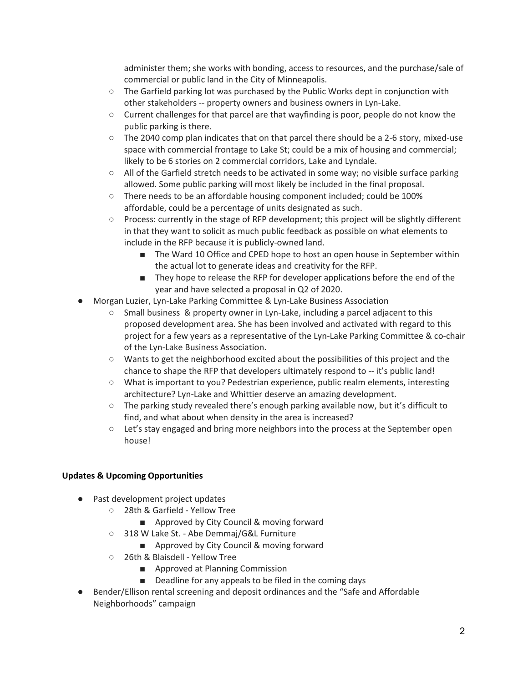administer them; she works with bonding, access to resources, and the purchase/sale of commercial or public land in the City of Minneapolis.

- $\circ$  The Garfield parking lot was purchased by the Public Works dept in conjunction with other stakeholders -- property owners and business owners in Lyn-Lake.
- $\circ$  Current challenges for that parcel are that wayfinding is poor, people do not know the public parking is there.
- The 2040 comp plan indicates that on that parcel there should be a 2-6 story, mixed-use space with commercial frontage to Lake St; could be a mix of housing and commercial; likely to be 6 stories on 2 commercial corridors, Lake and Lyndale.
- All of the Garfield stretch needs to be activated in some way; no visible surface parking allowed. Some public parking will most likely be included in the final proposal.
- There needs to be an affordable housing component included; could be 100% affordable, could be a percentage of units designated as such.
- Process: currently in the stage of RFP development; this project will be slightly different in that they want to solicit as much public feedback as possible on what elements to include in the RFP because it is publicly-owned land.
	- The Ward 10 Office and CPED hope to host an open house in September within the actual lot to generate ideas and creativity for the RFP.
	- They hope to release the RFP for developer applications before the end of the year and have selected a proposal in Q2 of 2020.
- Morgan Luzier, Lyn-Lake Parking Committee & Lyn-Lake Business Association
	- Small business & property owner in Lyn-Lake, including a parcel adjacent to this proposed development area. She has been involved and activated with regard to this project for a few years as a representative of the Lyn-Lake Parking Committee & co-chair of the Lyn-Lake Business Association.
	- Wants to get the neighborhood excited about the possibilities of this project and the chance to shape the RFP that developers ultimately respond to -- it's public land!
	- What is important to you? Pedestrian experience, public realm elements, interesting architecture? Lyn-Lake and Whittier deserve an amazing development.
	- The parking study revealed there's enough parking available now, but it's difficult to find, and what about when density in the area is increased?
	- Let's stay engaged and bring more neighbors into the process at the September open house!

# **Updates & Upcoming Opportunities**

- Past development project updates
	- 28th & Garfield Yellow Tree
		- Approved by City Council & moving forward
	- 318 W Lake St. Abe Demmaj/G&L Furniture
		- Approved by City Council & moving forward
	- 26th & Blaisdell Yellow Tree
		- Approved at Planning Commission
		- Deadline for any appeals to be filed in the coming days
- Bender/Ellison rental screening and deposit ordinances and the "Safe and Affordable Neighborhoods" campaign